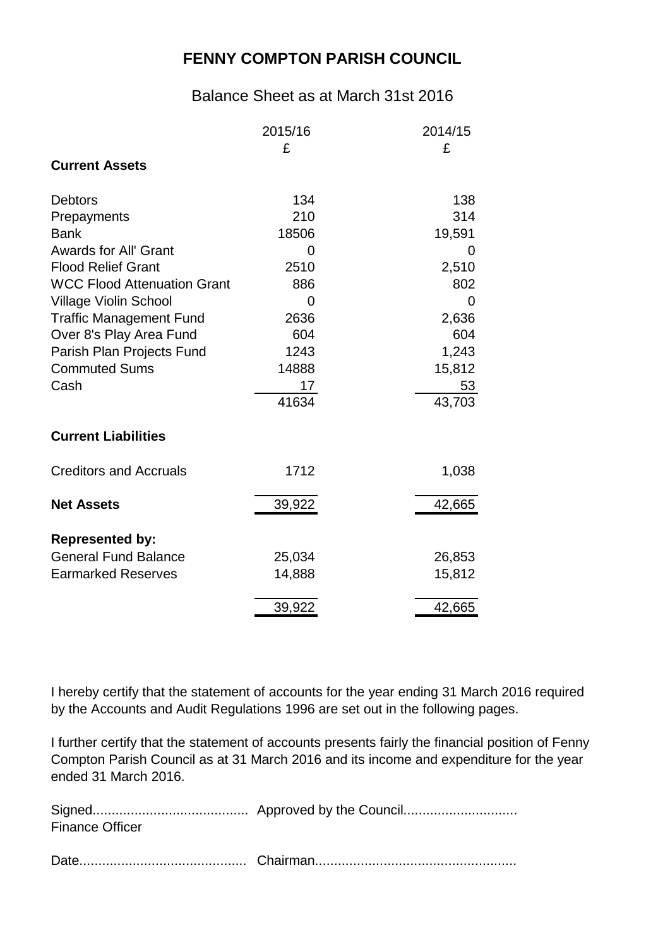## **FENNY COMPTON PARISH COUNCIL**

## Balance Sheet as at March 31st 2016

|                                    | 2015/16 | 2014/15      |
|------------------------------------|---------|--------------|
|                                    | £       | £            |
| <b>Current Assets</b>              |         |              |
| <b>Debtors</b>                     | 134     | 138          |
| Prepayments                        | 210     | 314          |
| <b>Bank</b>                        | 18506   | 19,591       |
| <b>Awards for All' Grant</b>       | 0       | $\mathbf{0}$ |
| <b>Flood Relief Grant</b>          | 2510    | 2,510        |
| <b>WCC Flood Attenuation Grant</b> | 886     | 802          |
| <b>Village Violin School</b>       | 0       | $\mathbf 0$  |
| <b>Traffic Management Fund</b>     | 2636    | 2,636        |
| Over 8's Play Area Fund            | 604     | 604          |
| Parish Plan Projects Fund          | 1243    | 1,243        |
| <b>Commuted Sums</b>               | 14888   | 15,812       |
| Cash                               | 17      | 53           |
|                                    | 41634   | 43,703       |
| <b>Current Liabilities</b>         |         |              |
| <b>Creditors and Accruals</b>      | 1712    | 1,038        |
| <b>Net Assets</b>                  | 39,922  | 42,665       |
| <b>Represented by:</b>             |         |              |
| <b>General Fund Balance</b>        | 25,034  | 26,853       |
| <b>Earmarked Reserves</b>          | 14,888  | 15,812       |
|                                    | 39,922  | 42,665       |

I hereby certify that the statement of accounts for the year ending 31 March 2016 required by the Accounts and Audit Regulations 1996 are set out in the following pages.

I further certify that the statement of accounts presents fairly the financial position of Fenny Compton Parish Council as at 31 March 2016 and its income and expenditure for the year ended 31 March 2016.

| <b>Finance Officer</b> |  |
|------------------------|--|
|                        |  |
|                        |  |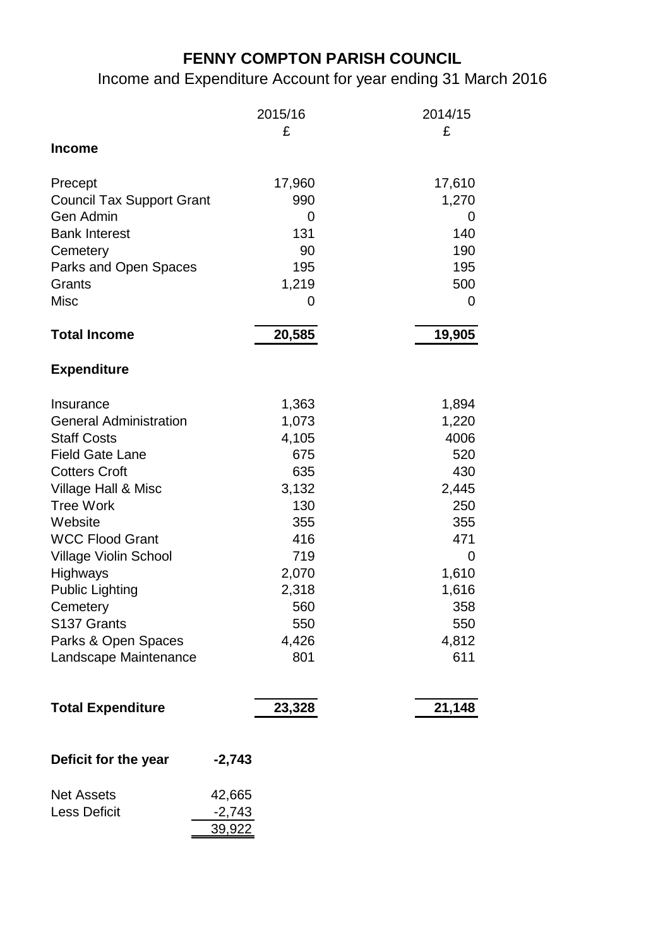## **FENNY COMPTON PARISH COUNCIL**

Income and Expenditure Account for year ending 31 March 2016

|                                  | 2015/16       | 2014/15 |
|----------------------------------|---------------|---------|
| <b>Income</b>                    | £             | £       |
|                                  |               |         |
| Precept                          | 17,960        | 17,610  |
| <b>Council Tax Support Grant</b> | 990           | 1,270   |
| Gen Admin                        | 0             | 0       |
| <b>Bank Interest</b>             | 131           | 140     |
| Cemetery                         | 90            | 190     |
| Parks and Open Spaces            | 195           | 195     |
| Grants                           | 1,219         | 500     |
| <b>Misc</b>                      | 0             | 0       |
| <b>Total Income</b>              | 20,585        | 19,905  |
| <b>Expenditure</b>               |               |         |
| Insurance                        | 1,363         | 1,894   |
| <b>General Administration</b>    | 1,073         | 1,220   |
| <b>Staff Costs</b>               | 4,105         | 4006    |
| <b>Field Gate Lane</b>           | 675           | 520     |
| <b>Cotters Croft</b>             | 635           | 430     |
| Village Hall & Misc              | 3,132         | 2,445   |
| <b>Tree Work</b>                 | 130           | 250     |
| Website                          | 355           | 355     |
| <b>WCC Flood Grant</b>           | 416           | 471     |
| <b>Village Violin School</b>     | 719           | 0       |
| Highways                         | 2,070         | 1,610   |
| <b>Public Lighting</b>           | 2,318         | 1,616   |
| Cemetery                         | 560           | 358     |
| S137 Grants                      | 550           | 550     |
| Parks & Open Spaces              | 4,426         | 4,812   |
| Landscape Maintenance            | 801           | 611     |
| <b>Total Expenditure</b>         | 23,328        | 21,148  |
| Deficit for the year             | $-2,743$      |         |
| <b>Net Assets</b>                | 42,665        |         |
| <b>Less Deficit</b>              | $-2,743$      |         |
|                                  | <u>39,922</u> |         |